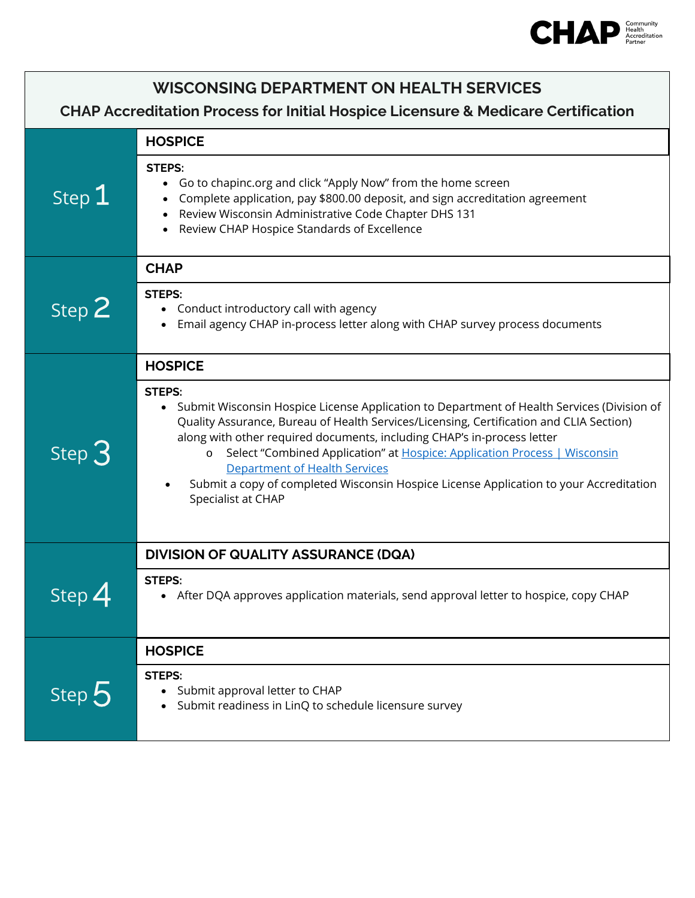

| <b>WISCONSING DEPARTMENT ON HEALTH SERVICES</b><br><b>CHAP Accreditation Process for Initial Hospice Licensure &amp; Medicare Certification</b> |                                                                                                                                                                                                                                                                                                                                                                                                                                                                                                                     |  |
|-------------------------------------------------------------------------------------------------------------------------------------------------|---------------------------------------------------------------------------------------------------------------------------------------------------------------------------------------------------------------------------------------------------------------------------------------------------------------------------------------------------------------------------------------------------------------------------------------------------------------------------------------------------------------------|--|
| Step 1                                                                                                                                          | <b>HOSPICE</b>                                                                                                                                                                                                                                                                                                                                                                                                                                                                                                      |  |
|                                                                                                                                                 | <b>STEPS:</b><br>Go to chapinc.org and click "Apply Now" from the home screen<br>Complete application, pay \$800.00 deposit, and sign accreditation agreement<br>Review Wisconsin Administrative Code Chapter DHS 131<br>Review CHAP Hospice Standards of Excellence                                                                                                                                                                                                                                                |  |
| Step 2                                                                                                                                          | <b>CHAP</b>                                                                                                                                                                                                                                                                                                                                                                                                                                                                                                         |  |
|                                                                                                                                                 | <b>STEPS:</b><br>Conduct introductory call with agency<br>Email agency CHAP in-process letter along with CHAP survey process documents                                                                                                                                                                                                                                                                                                                                                                              |  |
| Step $3$                                                                                                                                        | <b>HOSPICE</b>                                                                                                                                                                                                                                                                                                                                                                                                                                                                                                      |  |
|                                                                                                                                                 | <b>STEPS:</b><br>• Submit Wisconsin Hospice License Application to Department of Health Services (Division of<br>Quality Assurance, Bureau of Health Services/Licensing, Certification and CLIA Section)<br>along with other required documents, including CHAP's in-process letter<br>o Select "Combined Application" at Hospice: Application Process   Wisconsin<br>Department of Health Services<br>Submit a copy of completed Wisconsin Hospice License Application to your Accreditation<br>Specialist at CHAP |  |
| Step $4$                                                                                                                                        | <b>DIVISION OF QUALITY ASSURANCE (DQA)</b>                                                                                                                                                                                                                                                                                                                                                                                                                                                                          |  |
|                                                                                                                                                 | <b>STEPS:</b><br>• After DQA approves application materials, send approval letter to hospice, copy CHAP                                                                                                                                                                                                                                                                                                                                                                                                             |  |
| Step 5                                                                                                                                          | <b>HOSPICE</b>                                                                                                                                                                                                                                                                                                                                                                                                                                                                                                      |  |
|                                                                                                                                                 | <b>STEPS:</b><br>Submit approval letter to CHAP<br>Submit readiness in LinQ to schedule licensure survey                                                                                                                                                                                                                                                                                                                                                                                                            |  |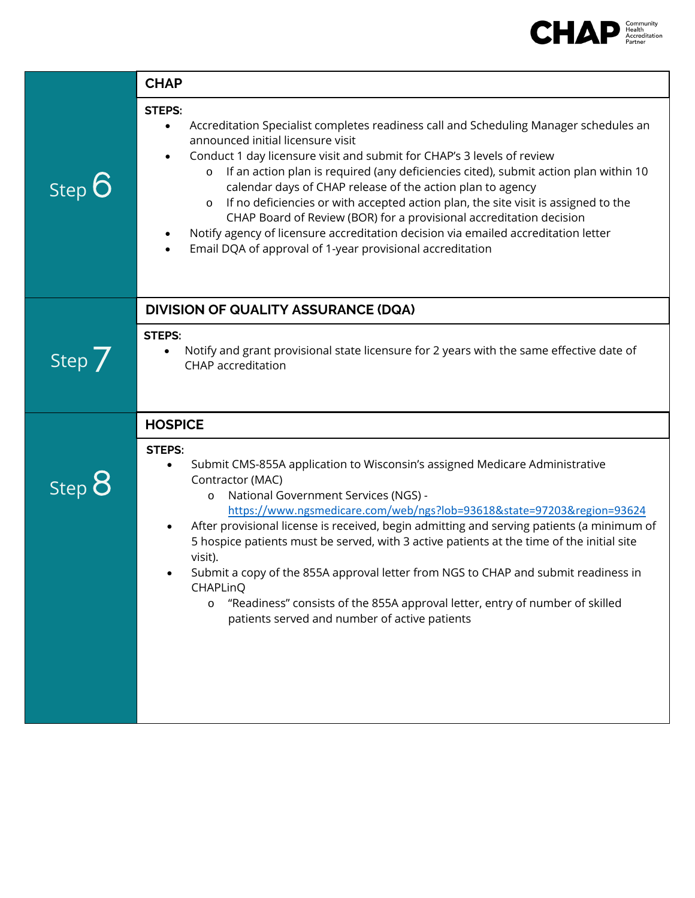

|          | <b>CHAP</b>                                                                                                                                                                                                                                                                                                                                                                                                                                                                                                                                                                                                                                                                                                                    |
|----------|--------------------------------------------------------------------------------------------------------------------------------------------------------------------------------------------------------------------------------------------------------------------------------------------------------------------------------------------------------------------------------------------------------------------------------------------------------------------------------------------------------------------------------------------------------------------------------------------------------------------------------------------------------------------------------------------------------------------------------|
| Step 6   | <b>STEPS:</b><br>Accreditation Specialist completes readiness call and Scheduling Manager schedules an<br>$\bullet$<br>announced initial licensure visit<br>Conduct 1 day licensure visit and submit for CHAP's 3 levels of review<br>If an action plan is required (any deficiencies cited), submit action plan within 10<br>$\circ$<br>calendar days of CHAP release of the action plan to agency<br>If no deficiencies or with accepted action plan, the site visit is assigned to the<br>$\circ$<br>CHAP Board of Review (BOR) for a provisional accreditation decision<br>Notify agency of licensure accreditation decision via emailed accreditation letter<br>Email DQA of approval of 1-year provisional accreditation |
|          | <b>DIVISION OF QUALITY ASSURANCE (DQA)</b>                                                                                                                                                                                                                                                                                                                                                                                                                                                                                                                                                                                                                                                                                     |
| Step $7$ | <b>STEPS:</b><br>Notify and grant provisional state licensure for 2 years with the same effective date of<br><b>CHAP</b> accreditation                                                                                                                                                                                                                                                                                                                                                                                                                                                                                                                                                                                         |
|          | <b>HOSPICE</b>                                                                                                                                                                                                                                                                                                                                                                                                                                                                                                                                                                                                                                                                                                                 |
| Step 8   | <b>STEPS:</b><br>Submit CMS-855A application to Wisconsin's assigned Medicare Administrative<br>$\bullet$<br>Contractor (MAC)<br>National Government Services (NGS) -<br>$\circ$<br>https://www.ngsmedicare.com/web/ngs?lob=93618&state=97203&region=93624<br>After provisional license is received, begin admitting and serving patients (a minimum of<br>5 hospice patients must be served, with 3 active patients at the time of the initial site<br>visit).<br>Submit a copy of the 855A approval letter from NGS to CHAP and submit readiness in<br>CHAPLinQ<br>"Readiness" consists of the 855A approval letter, entry of number of skilled<br>$\circ$<br>patients served and number of active patients                  |